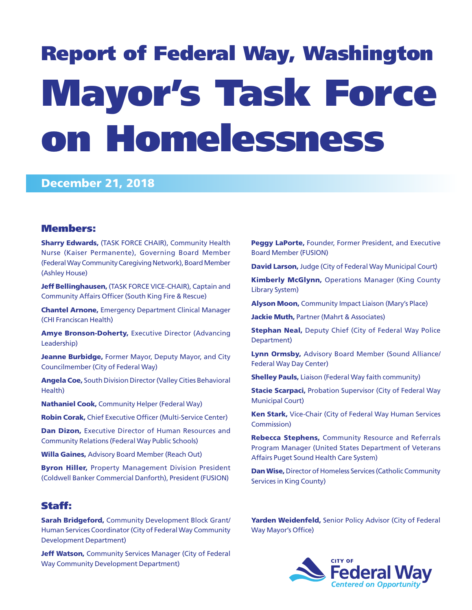# Report of Federal Way, Washington Mayor's Task Force on Homelessness

# December 21, 2018

## Members:

**Sharry Edwards, (TASK FORCE CHAIR), Community Health** Nurse (Kaiser Permanente), Governing Board Member (Federal Way Community Caregiving Network), Board Member (Ashley House)

Jeff Bellinghausen, (TASK FORCE VICE-CHAIR), Captain and Community Affairs Officer (South King Fire & Rescue)

Chantel Arnone, Emergency Department Clinical Manager (CHI Franciscan Health)

**Amye Bronson-Doherty, Executive Director (Advancing** Leadership)

Jeanne Burbidge, Former Mayor, Deputy Mayor, and City Councilmember (City of Federal Way)

Angela Coe, South Division Director (Valley Cities Behavioral Health)

Nathaniel Cook, Community Helper (Federal Way)

Robin Corak, Chief Executive Officer (Multi-Service Center)

Dan Dizon, Executive Director of Human Resources and Community Relations (Federal Way Public Schools)

Willa Gaines, Advisory Board Member (Reach Out)

**Byron Hiller, Property Management Division President** (Coldwell Banker Commercial Danforth), President (FUSION)

# Staff:

Sarah Bridgeford, Community Development Block Grant/ Human Services Coordinator (City of Federal Way Community Development Department)

Jeff Watson, Community Services Manager (City of Federal Way Community Development Department)

Peggy LaPorte, Founder, Former President, and Executive Board Member (FUSION)

**David Larson, Judge (City of Federal Way Municipal Court)** 

**Kimberly McGlynn, Operations Manager (King County** Library System)

**Alyson Moon, Community Impact Liaison (Mary's Place)** 

Jackie Muth, Partner (Mahrt & Associates)

**Stephan Neal, Deputy Chief (City of Federal Way Police** Department)

Lynn Ormsby, Advisory Board Member (Sound Alliance/ Federal Way Day Center)

**Shelley Pauls, Liaison (Federal Way faith community)** 

**Stacie Scarpaci, Probation Supervisor (City of Federal Way** Municipal Court)

Ken Stark, Vice-Chair (City of Federal Way Human Services Commission)

Rebecca Stephens, Community Resource and Referrals Program Manager (United States Department of Veterans Affairs Puget Sound Health Care System)

Dan Wise, Director of Homeless Services (Catholic Community Services in King County)

Yarden Weidenfeld, Senior Policy Advisor (City of Federal Way Mayor's Office)

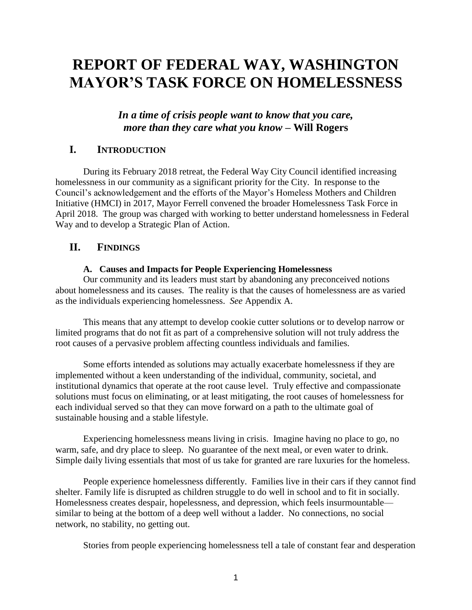# **REPORT OF FEDERAL WAY, WASHINGTON MAYOR'S TASK FORCE ON HOMELESSNESS**

# *In a time of crisis people want to know that you care, more than they care what you know* **– Will Rogers**

# **I. INTRODUCTION**

During its February 2018 retreat, the Federal Way City Council identified increasing homelessness in our community as a significant priority for the City. In response to the Council's acknowledgement and the efforts of the Mayor's Homeless Mothers and Children Initiative (HMCI) in 2017, Mayor Ferrell convened the broader Homelessness Task Force in April 2018. The group was charged with working to better understand homelessness in Federal Way and to develop a Strategic Plan of Action.

## **II. FINDINGS**

#### **A. Causes and Impacts for People Experiencing Homelessness**

Our community and its leaders must start by abandoning any preconceived notions about homelessness and its causes. The reality is that the causes of homelessness are as varied as the individuals experiencing homelessness. *See* Appendix A.

This means that any attempt to develop cookie cutter solutions or to develop narrow or limited programs that do not fit as part of a comprehensive solution will not truly address the root causes of a pervasive problem affecting countless individuals and families.

Some efforts intended as solutions may actually exacerbate homelessness if they are implemented without a keen understanding of the individual, community, societal, and institutional dynamics that operate at the root cause level. Truly effective and compassionate solutions must focus on eliminating, or at least mitigating, the root causes of homelessness for each individual served so that they can move forward on a path to the ultimate goal of sustainable housing and a stable lifestyle.

Experiencing homelessness means living in crisis. Imagine having no place to go, no warm, safe, and dry place to sleep. No guarantee of the next meal, or even water to drink. Simple daily living essentials that most of us take for granted are rare luxuries for the homeless.

People experience homelessness differently. Families live in their cars if they cannot find shelter. Family life is disrupted as children struggle to do well in school and to fit in socially. Homelessness creates despair, hopelessness, and depression, which feels insurmountable similar to being at the bottom of a deep well without a ladder. No connections, no social network, no stability, no getting out.

Stories from people experiencing homelessness tell a tale of constant fear and desperation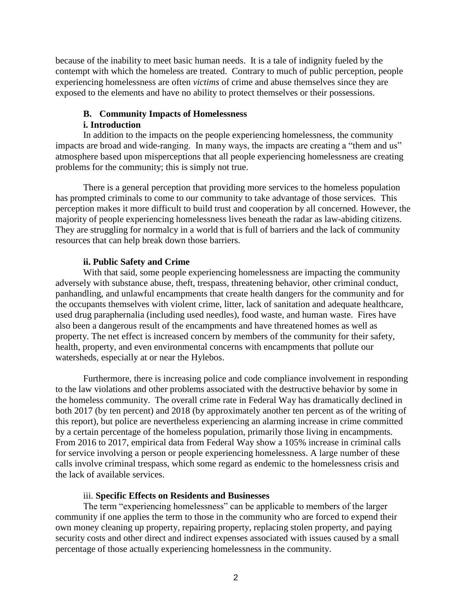because of the inability to meet basic human needs. It is a tale of indignity fueled by the contempt with which the homeless are treated. Contrary to much of public perception, people experiencing homelessness are often *victims* of crime and abuse themselves since they are exposed to the elements and have no ability to protect themselves or their possessions.

## **B. Community Impacts of Homelessness i. Introduction**

In addition to the impacts on the people experiencing homelessness, the community impacts are broad and wide-ranging. In many ways, the impacts are creating a "them and us" atmosphere based upon misperceptions that all people experiencing homelessness are creating problems for the community; this is simply not true.

There is a general perception that providing more services to the homeless population has prompted criminals to come to our community to take advantage of those services. This perception makes it more difficult to build trust and cooperation by all concerned. However, the majority of people experiencing homelessness lives beneath the radar as law-abiding citizens. They are struggling for normalcy in a world that is full of barriers and the lack of community resources that can help break down those barriers.

#### **ii. Public Safety and Crime**

With that said, some people experiencing homelessness are impacting the community adversely with substance abuse, theft, trespass, threatening behavior, other criminal conduct, panhandling, and unlawful encampments that create health dangers for the community and for the occupants themselves with violent crime, litter, lack of sanitation and adequate healthcare, used drug paraphernalia (including used needles), food waste, and human waste. Fires have also been a dangerous result of the encampments and have threatened homes as well as property. The net effect is increased concern by members of the community for their safety, health, property, and even environmental concerns with encampments that pollute our watersheds, especially at or near the Hylebos.

Furthermore, there is increasing police and code compliance involvement in responding to the law violations and other problems associated with the destructive behavior by some in the homeless community. The overall crime rate in Federal Way has dramatically declined in both 2017 (by ten percent) and 2018 (by approximately another ten percent as of the writing of this report), but police are nevertheless experiencing an alarming increase in crime committed by a certain percentage of the homeless population, primarily those living in encampments. From 2016 to 2017, empirical data from Federal Way show a 105% increase in criminal calls for service involving a person or people experiencing homelessness. A large number of these calls involve criminal trespass, which some regard as endemic to the homelessness crisis and the lack of available services.

## iii. **Specific Effects on Residents and Businesses**

The term "experiencing homelessness" can be applicable to members of the larger community if one applies the term to those in the community who are forced to expend their own money cleaning up property, repairing property, replacing stolen property, and paying security costs and other direct and indirect expenses associated with issues caused by a small percentage of those actually experiencing homelessness in the community.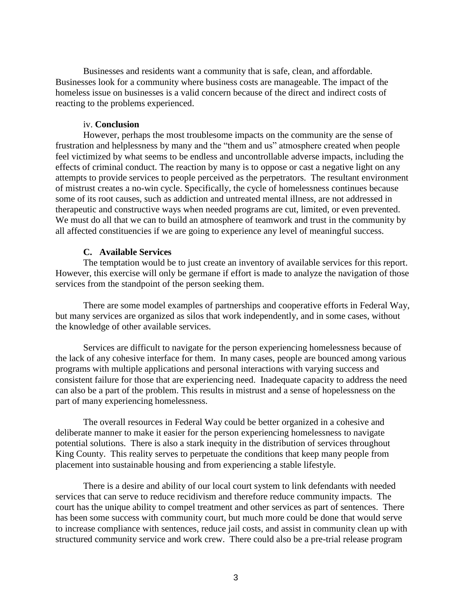Businesses and residents want a community that is safe, clean, and affordable. Businesses look for a community where business costs are manageable. The impact of the homeless issue on businesses is a valid concern because of the direct and indirect costs of reacting to the problems experienced.

#### iv. **Conclusion**

However, perhaps the most troublesome impacts on the community are the sense of frustration and helplessness by many and the "them and us" atmosphere created when people feel victimized by what seems to be endless and uncontrollable adverse impacts, including the effects of criminal conduct. The reaction by many is to oppose or cast a negative light on any attempts to provide services to people perceived as the perpetrators. The resultant environment of mistrust creates a no-win cycle. Specifically, the cycle of homelessness continues because some of its root causes, such as addiction and untreated mental illness, are not addressed in therapeutic and constructive ways when needed programs are cut, limited, or even prevented. We must do all that we can to build an atmosphere of teamwork and trust in the community by all affected constituencies if we are going to experience any level of meaningful success.

#### **C. Available Services**

The temptation would be to just create an inventory of available services for this report. However, this exercise will only be germane if effort is made to analyze the navigation of those services from the standpoint of the person seeking them.

There are some model examples of partnerships and cooperative efforts in Federal Way, but many services are organized as silos that work independently, and in some cases, without the knowledge of other available services.

Services are difficult to navigate for the person experiencing homelessness because of the lack of any cohesive interface for them. In many cases, people are bounced among various programs with multiple applications and personal interactions with varying success and consistent failure for those that are experiencing need. Inadequate capacity to address the need can also be a part of the problem. This results in mistrust and a sense of hopelessness on the part of many experiencing homelessness.

The overall resources in Federal Way could be better organized in a cohesive and deliberate manner to make it easier for the person experiencing homelessness to navigate potential solutions. There is also a stark inequity in the distribution of services throughout King County. This reality serves to perpetuate the conditions that keep many people from placement into sustainable housing and from experiencing a stable lifestyle.

There is a desire and ability of our local court system to link defendants with needed services that can serve to reduce recidivism and therefore reduce community impacts. The court has the unique ability to compel treatment and other services as part of sentences. There has been some success with community court, but much more could be done that would serve to increase compliance with sentences, reduce jail costs, and assist in community clean up with structured community service and work crew. There could also be a pre-trial release program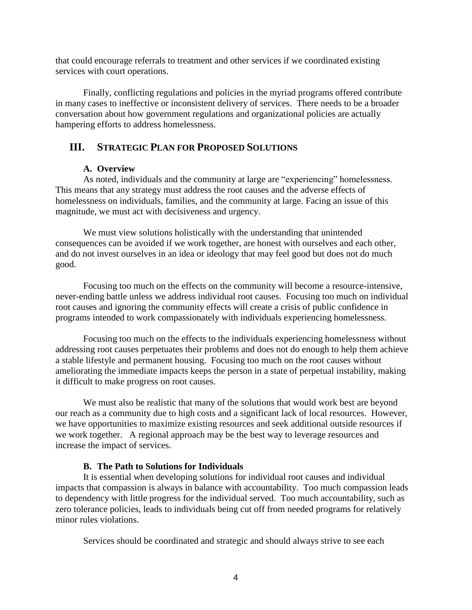that could encourage referrals to treatment and other services if we coordinated existing services with court operations.

Finally, conflicting regulations and policies in the myriad programs offered contribute in many cases to ineffective or inconsistent delivery of services. There needs to be a broader conversation about how government regulations and organizational policies are actually hampering efforts to address homelessness.

# **III. STRATEGIC PLAN FOR PROPOSED SOLUTIONS**

#### **A. Overview**

As noted, individuals and the community at large are "experiencing" homelessness. This means that any strategy must address the root causes and the adverse effects of homelessness on individuals, families, and the community at large. Facing an issue of this magnitude, we must act with decisiveness and urgency.

We must view solutions holistically with the understanding that unintended consequences can be avoided if we work together, are honest with ourselves and each other, and do not invest ourselves in an idea or ideology that may feel good but does not do much good.

Focusing too much on the effects on the community will become a resource-intensive, never-ending battle unless we address individual root causes. Focusing too much on individual root causes and ignoring the community effects will create a crisis of public confidence in programs intended to work compassionately with individuals experiencing homelessness.

Focusing too much on the effects to the individuals experiencing homelessness without addressing root causes perpetuates their problems and does not do enough to help them achieve a stable lifestyle and permanent housing. Focusing too much on the root causes without ameliorating the immediate impacts keeps the person in a state of perpetual instability, making it difficult to make progress on root causes.

We must also be realistic that many of the solutions that would work best are beyond our reach as a community due to high costs and a significant lack of local resources. However, we have opportunities to maximize existing resources and seek additional outside resources if we work together. A regional approach may be the best way to leverage resources and increase the impact of services.

## **B. The Path to Solutions for Individuals**

It is essential when developing solutions for individual root causes and individual impacts that compassion is always in balance with accountability. Too much compassion leads to dependency with little progress for the individual served. Too much accountability, such as zero tolerance policies, leads to individuals being cut off from needed programs for relatively minor rules violations.

Services should be coordinated and strategic and should always strive to see each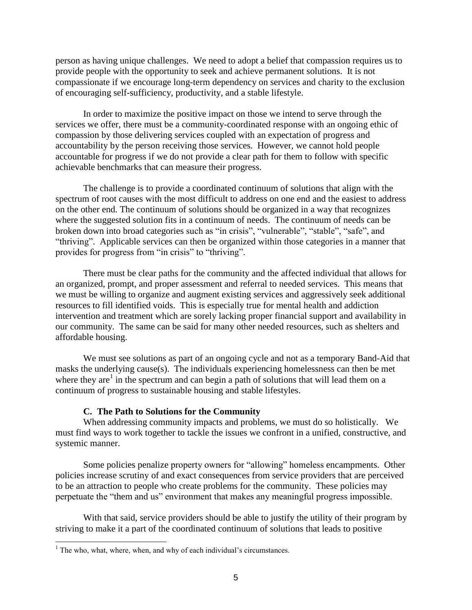person as having unique challenges. We need to adopt a belief that compassion requires us to provide people with the opportunity to seek and achieve permanent solutions. It is not compassionate if we encourage long-term dependency on services and charity to the exclusion of encouraging self-sufficiency, productivity, and a stable lifestyle.

In order to maximize the positive impact on those we intend to serve through the services we offer, there must be a community-coordinated response with an ongoing ethic of compassion by those delivering services coupled with an expectation of progress and accountability by the person receiving those services. However, we cannot hold people accountable for progress if we do not provide a clear path for them to follow with specific achievable benchmarks that can measure their progress.

The challenge is to provide a coordinated continuum of solutions that align with the spectrum of root causes with the most difficult to address on one end and the easiest to address on the other end. The continuum of solutions should be organized in a way that recognizes where the suggested solution fits in a continuum of needs. The continuum of needs can be broken down into broad categories such as "in crisis", "vulnerable", "stable", "safe", and "thriving". Applicable services can then be organized within those categories in a manner that provides for progress from "in crisis" to "thriving".

There must be clear paths for the community and the affected individual that allows for an organized, prompt, and proper assessment and referral to needed services. This means that we must be willing to organize and augment existing services and aggressively seek additional resources to fill identified voids. This is especially true for mental health and addiction intervention and treatment which are sorely lacking proper financial support and availability in our community. The same can be said for many other needed resources, such as shelters and affordable housing.

We must see solutions as part of an ongoing cycle and not as a temporary Band-Aid that masks the underlying cause(s). The individuals experiencing homelessness can then be met where they are<sup>1</sup> in the spectrum and can begin a path of solutions that will lead them on a continuum of progress to sustainable housing and stable lifestyles.

#### **C. The Path to Solutions for the Community**

When addressing community impacts and problems, we must do so holistically. We must find ways to work together to tackle the issues we confront in a unified, constructive, and systemic manner.

Some policies penalize property owners for "allowing" homeless encampments. Other policies increase scrutiny of and exact consequences from service providers that are perceived to be an attraction to people who create problems for the community. These policies may perpetuate the "them and us" environment that makes any meaningful progress impossible.

With that said, service providers should be able to justify the utility of their program by striving to make it a part of the coordinated continuum of solutions that leads to positive

 $1$ <sup>1</sup> The who, what, where, when, and why of each individual's circumstances.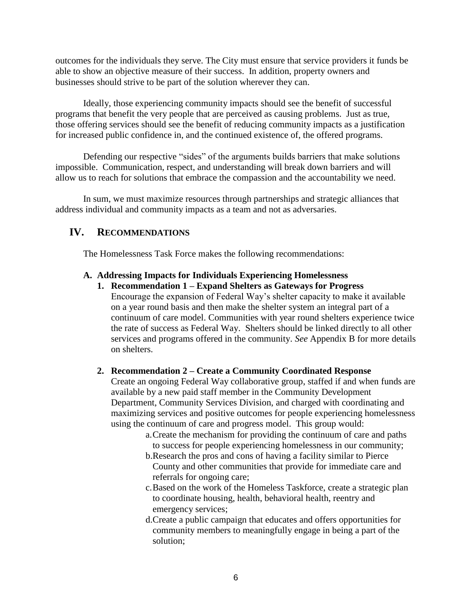outcomes for the individuals they serve. The City must ensure that service providers it funds be able to show an objective measure of their success. In addition, property owners and businesses should strive to be part of the solution wherever they can.

Ideally, those experiencing community impacts should see the benefit of successful programs that benefit the very people that are perceived as causing problems. Just as true, those offering services should see the benefit of reducing community impacts as a justification for increased public confidence in, and the continued existence of, the offered programs.

Defending our respective "sides" of the arguments builds barriers that make solutions impossible. Communication, respect, and understanding will break down barriers and will allow us to reach for solutions that embrace the compassion and the accountability we need.

In sum, we must maximize resources through partnerships and strategic alliances that address individual and community impacts as a team and not as adversaries.

# **IV. RECOMMENDATIONS**

The Homelessness Task Force makes the following recommendations:

#### **A. Addressing Impacts for Individuals Experiencing Homelessness**

**1. Recommendation 1 – Expand Shelters as Gateways for Progress** Encourage the expansion of Federal Way's shelter capacity to make it available on a year round basis and then make the shelter system an integral part of a continuum of care model. Communities with year round shelters experience twice the rate of success as Federal Way. Shelters should be linked directly to all other services and programs offered in the community. *See* Appendix B for more details on shelters.

## **2. Recommendation 2 – Create a Community Coordinated Response**

Create an ongoing Federal Way collaborative group, staffed if and when funds are available by a new paid staff member in the Community Development Department, Community Services Division, and charged with coordinating and maximizing services and positive outcomes for people experiencing homelessness using the continuum of care and progress model. This group would:

- a.Create the mechanism for providing the continuum of care and paths to success for people experiencing homelessness in our community;
- b.Research the pros and cons of having a facility similar to Pierce County and other communities that provide for immediate care and referrals for ongoing care;
- c.Based on the work of the Homeless Taskforce, create a strategic plan to coordinate housing, health, behavioral health, reentry and emergency services;
- d.Create a public campaign that educates and offers opportunities for community members to meaningfully engage in being a part of the solution;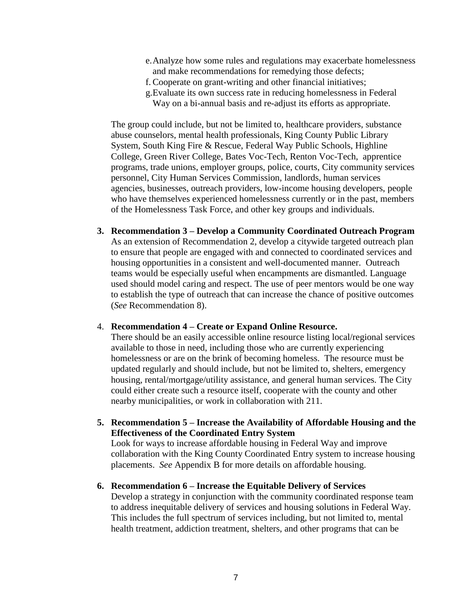- e.Analyze how some rules and regulations may exacerbate homelessness and make recommendations for remedying those defects;
- f. Cooperate on grant-writing and other financial initiatives;
- g.Evaluate its own success rate in reducing homelessness in Federal
- Way on a bi-annual basis and re-adjust its efforts as appropriate.

The group could include, but not be limited to, healthcare providers, substance abuse counselors, mental health professionals, King County Public Library System, South King Fire & Rescue, Federal Way Public Schools, Highline College, Green River College, Bates Voc-Tech, Renton Voc-Tech, apprentice programs, trade unions, employer groups, police, courts, City community services personnel, City Human Services Commission, landlords, human services agencies, businesses, outreach providers, low-income housing developers, people who have themselves experienced homelessness currently or in the past, members of the Homelessness Task Force, and other key groups and individuals.

**3. Recommendation 3 – Develop a Community Coordinated Outreach Program** As an extension of Recommendation 2, develop a citywide targeted outreach plan to ensure that people are engaged with and connected to coordinated services and housing opportunities in a consistent and well-documented manner. Outreach teams would be especially useful when encampments are dismantled. Language used should model caring and respect. The use of peer mentors would be one way to establish the type of outreach that can increase the chance of positive outcomes (*See* Recommendation 8).

#### 4. **Recommendation 4 – Create or Expand Online Resource.**

There should be an easily accessible online resource listing local/regional services available to those in need, including those who are currently experiencing homelessness or are on the brink of becoming homeless. The resource must be updated regularly and should include, but not be limited to, shelters, emergency housing, rental/mortgage/utility assistance, and general human services. The City could either create such a resource itself, cooperate with the county and other nearby municipalities, or work in collaboration with 211.

**5. Recommendation 5 – Increase the Availability of Affordable Housing and the Effectiveness of the Coordinated Entry System**

Look for ways to increase affordable housing in Federal Way and improve collaboration with the King County Coordinated Entry system to increase housing placements. *See* Appendix B for more details on affordable housing.

#### **6. Recommendation 6 – Increase the Equitable Delivery of Services**

Develop a strategy in conjunction with the community coordinated response team to address inequitable delivery of services and housing solutions in Federal Way. This includes the full spectrum of services including, but not limited to, mental health treatment, addiction treatment, shelters, and other programs that can be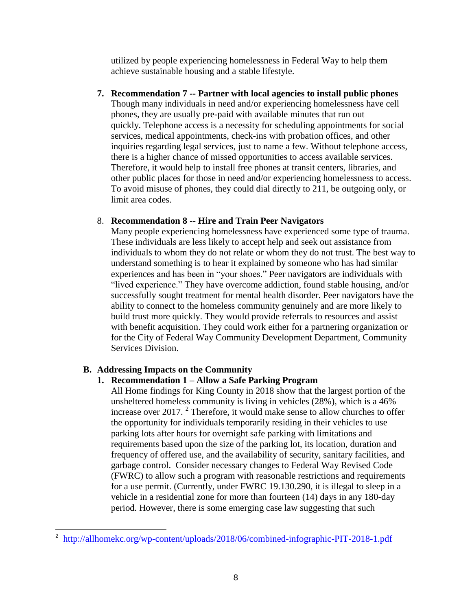utilized by people experiencing homelessness in Federal Way to help them achieve sustainable housing and a stable lifestyle.

**7. Recommendation 7 -- Partner with local agencies to install public phones** Though many individuals in need and/or experiencing homelessness have cell phones, they are usually pre-paid with available minutes that run out quickly. Telephone access is a necessity for scheduling appointments for social services, medical appointments, check-ins with probation offices, and other inquiries regarding legal services, just to name a few. Without telephone access, there is a higher chance of missed opportunities to access available services. Therefore, it would help to install free phones at transit centers, libraries, and other public places for those in need and/or experiencing homelessness to access. To avoid misuse of phones, they could dial directly to 211, be outgoing only, or limit area codes.

#### 8. **Recommendation 8 -- Hire and Train Peer Navigators**

Many people experiencing homelessness have experienced some type of trauma. These individuals are less likely to accept help and seek out assistance from individuals to whom they do not relate or whom they do not trust. The best way to understand something is to hear it explained by someone who has had similar experiences and has been in "your shoes." Peer navigators are individuals with "lived experience." They have overcome addiction, found stable housing, and/or successfully sought treatment for mental health disorder. Peer navigators have the ability to connect to the homeless community genuinely and are more likely to build trust more quickly. They would provide referrals to resources and assist with benefit acquisition. They could work either for a partnering organization or for the City of Federal Way Community Development Department, Community Services Division.

## **B. Addressing Impacts on the Community**

## **1. Recommendation 1 – Allow a Safe Parking Program**

All Home findings for King County in 2018 show that the largest portion of the unsheltered homeless community is living in vehicles (28%), which is a 46% increase over 2017. <sup>2</sup> Therefore, it would make sense to allow churches to offer the opportunity for individuals temporarily residing in their vehicles to use parking lots after hours for overnight safe parking with limitations and requirements based upon the size of the parking lot, its location, duration and frequency of offered use, and the availability of security, sanitary facilities, and garbage control. Consider necessary changes to Federal Way Revised Code (FWRC) to allow such a program with reasonable restrictions and requirements for a use permit. (Currently, under FWRC 19.130.290, it is illegal to sleep in a vehicle in a residential zone for more than fourteen (14) days in any 180-day period. However, there is some emerging case law suggesting that such

<sup>2</sup> <http://allhomekc.org/wp-content/uploads/2018/06/combined-infographic-PIT-2018-1.pdf>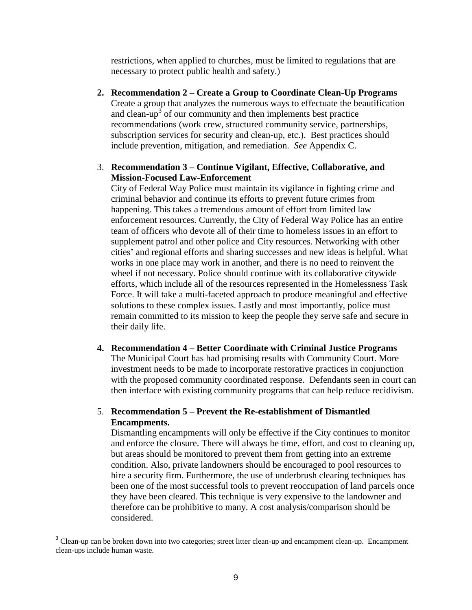restrictions, when applied to churches, must be limited to regulations that are necessary to protect public health and safety.)

- **2. Recommendation 2 – Create a Group to Coordinate Clean-Up Programs** Create a group that analyzes the numerous ways to effectuate the beautification and clean-up<sup>3</sup> of our community and then implements best practice recommendations (work crew, structured community service, partnerships, subscription services for security and clean-up, etc.). Best practices should include prevention, mitigation, and remediation. *See* Appendix C.
- 3. **Recommendation 3 – Continue Vigilant, Effective, Collaborative, and Mission-Focused Law-Enforcement**

City of Federal Way Police must maintain its vigilance in fighting crime and criminal behavior and continue its efforts to prevent future crimes from happening. This takes a tremendous amount of effort from limited law enforcement resources. Currently, the City of Federal Way Police has an entire team of officers who devote all of their time to homeless issues in an effort to supplement patrol and other police and City resources. Networking with other cities' and regional efforts and sharing successes and new ideas is helpful. What works in one place may work in another, and there is no need to reinvent the wheel if not necessary. Police should continue with its collaborative citywide efforts, which include all of the resources represented in the Homelessness Task Force. It will take a multi-faceted approach to produce meaningful and effective solutions to these complex issues. Lastly and most importantly, police must remain committed to its mission to keep the people they serve safe and secure in their daily life.

**4. Recommendation 4 – Better Coordinate with Criminal Justice Programs** The Municipal Court has had promising results with Community Court. More investment needs to be made to incorporate restorative practices in conjunction with the proposed community coordinated response. Defendants seen in court can then interface with existing community programs that can help reduce recidivism.

#### 5. **Recommendation 5 – Prevent the Re-establishment of Dismantled Encampments.**

Dismantling encampments will only be effective if the City continues to monitor and enforce the closure. There will always be time, effort, and cost to cleaning up, but areas should be monitored to prevent them from getting into an extreme condition. Also, private landowners should be encouraged to pool resources to hire a security firm. Furthermore, the use of underbrush clearing techniques has been one of the most successful tools to prevent reoccupation of land parcels once they have been cleared. This technique is very expensive to the landowner and therefore can be prohibitive to many. A cost analysis/comparison should be considered.

<sup>&</sup>lt;sup>3</sup> Clean-up can be broken down into two categories; street litter clean-up and encampment clean-up. Encampment clean-ups include human waste.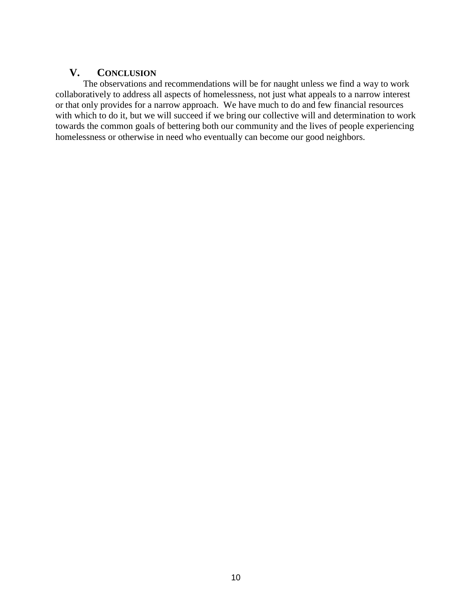# **V. CONCLUSION**

The observations and recommendations will be for naught unless we find a way to work collaboratively to address all aspects of homelessness, not just what appeals to a narrow interest or that only provides for a narrow approach. We have much to do and few financial resources with which to do it, but we will succeed if we bring our collective will and determination to work towards the common goals of bettering both our community and the lives of people experiencing homelessness or otherwise in need who eventually can become our good neighbors.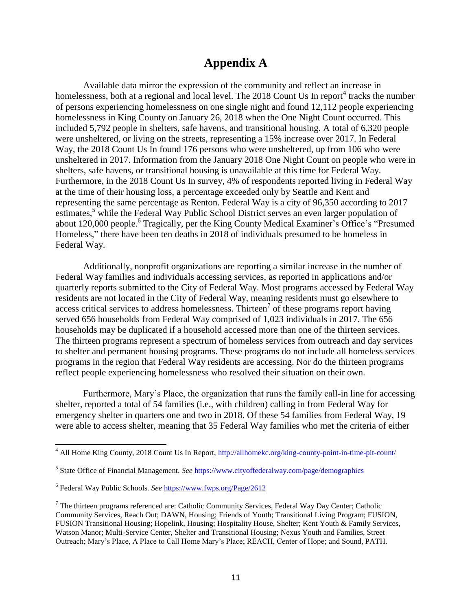# **Appendix A**

Available data mirror the expression of the community and reflect an increase in homelessness, both at a regional and local level. The 2018 Count Us In report<sup>4</sup> tracks the number of persons experiencing homelessness on one single night and found 12,112 people experiencing homelessness in King County on January 26, 2018 when the One Night Count occurred. This included 5,792 people in shelters, safe havens, and transitional housing. A total of 6,320 people were unsheltered, or living on the streets, representing a 15% increase over 2017. In Federal Way, the 2018 Count Us In found 176 persons who were unsheltered, up from 106 who were unsheltered in 2017. Information from the January 2018 One Night Count on people who were in shelters, safe havens, or transitional housing is unavailable at this time for Federal Way. Furthermore, in the 2018 Count Us In survey, 4% of respondents reported living in Federal Way at the time of their housing loss, a percentage exceeded only by Seattle and Kent and representing the same percentage as Renton. Federal Way is a city of 96,350 according to 2017 estimates,<sup>5</sup> while the Federal Way Public School District serves an even larger population of about 120,000 people.<sup>6</sup> Tragically, per the King County Medical Examiner's Office's "Presumed Homeless," there have been ten deaths in 2018 of individuals presumed to be homeless in Federal Way.

Additionally, nonprofit organizations are reporting a similar increase in the number of Federal Way families and individuals accessing services, as reported in applications and/or quarterly reports submitted to the City of Federal Way. Most programs accessed by Federal Way residents are not located in the City of Federal Way, meaning residents must go elsewhere to access critical services to address homelessness. Thirteen<sup>7</sup> of these programs report having served 656 households from Federal Way comprised of 1,023 individuals in 2017. The 656 households may be duplicated if a household accessed more than one of the thirteen services. The thirteen programs represent a spectrum of homeless services from outreach and day services to shelter and permanent housing programs. These programs do not include all homeless services programs in the region that Federal Way residents are accessing. Nor do the thirteen programs reflect people experiencing homelessness who resolved their situation on their own.

Furthermore, Mary's Place, the organization that runs the family call-in line for accessing shelter, reported a total of 54 families (i.e., with children) calling in from Federal Way for emergency shelter in quarters one and two in 2018. Of these 54 families from Federal Way, 19 were able to access shelter, meaning that 35 Federal Way families who met the criteria of either

 $\overline{a}$ 

<sup>4</sup> All Home King County, 2018 Count Us In Report,<http://allhomekc.org/king-county-point-in-time-pit-count/>

<sup>&</sup>lt;sup>5</sup> State Office of Financial Management. *See* <https://www.cityoffederalway.com/page/demographics>

<sup>&</sup>lt;sup>6</sup> Federal Way Public Schools. *See* <https://www.fwps.org/Page/2612>

 $<sup>7</sup>$  The thirteen programs referenced are: Catholic Community Services, Federal Way Day Center; Catholic</sup> Community Services, Reach Out; DAWN, Housing; Friends of Youth; Transitional Living Program; FUSION, FUSION Transitional Housing; Hopelink, Housing; Hospitality House, Shelter; Kent Youth & Family Services, Watson Manor; Multi-Service Center, Shelter and Transitional Housing; Nexus Youth and Families, Street Outreach; Mary's Place, A Place to Call Home Mary's Place; REACH, Center of Hope; and Sound, PATH.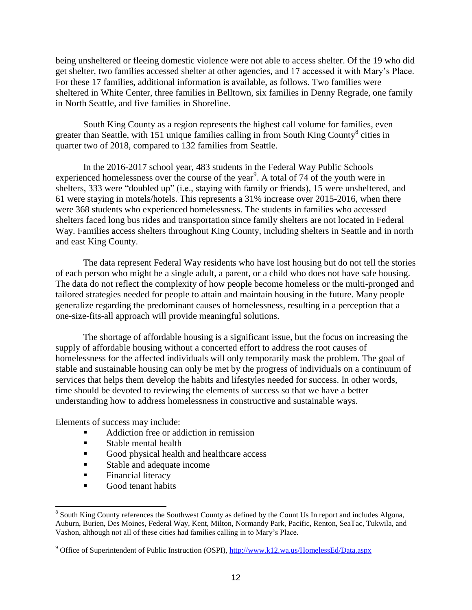being unsheltered or fleeing domestic violence were not able to access shelter. Of the 19 who did get shelter, two families accessed shelter at other agencies, and 17 accessed it with Mary's Place. For these 17 families, additional information is available, as follows. Two families were sheltered in White Center, three families in Belltown, six families in Denny Regrade, one family in North Seattle, and five families in Shoreline.

South King County as a region represents the highest call volume for families, even greater than Seattle, with 151 unique families calling in from South King County<sup>8</sup> cities in quarter two of 2018, compared to 132 families from Seattle.

In the 2016-2017 school year, 483 students in the Federal Way Public Schools experienced homelessness over the course of the year<sup>9</sup>. A total of 74 of the youth were in shelters, 333 were "doubled up" (i.e., staying with family or friends), 15 were unsheltered, and 61 were staying in motels/hotels. This represents a 31% increase over 2015-2016, when there were 368 students who experienced homelessness. The students in families who accessed shelters faced long bus rides and transportation since family shelters are not located in Federal Way. Families access shelters throughout King County, including shelters in Seattle and in north and east King County.

The data represent Federal Way residents who have lost housing but do not tell the stories of each person who might be a single adult, a parent, or a child who does not have safe housing. The data do not reflect the complexity of how people become homeless or the multi-pronged and tailored strategies needed for people to attain and maintain housing in the future. Many people generalize regarding the predominant causes of homelessness, resulting in a perception that a one-size-fits-all approach will provide meaningful solutions.

The shortage of affordable housing is a significant issue, but the focus on increasing the supply of affordable housing without a concerted effort to address the root causes of homelessness for the affected individuals will only temporarily mask the problem. The goal of stable and sustainable housing can only be met by the progress of individuals on a continuum of services that helps them develop the habits and lifestyles needed for success. In other words, time should be devoted to reviewing the elements of success so that we have a better understanding how to address homelessness in constructive and sustainable ways.

Elements of success may include:

- Addiction free or addiction in remission
- **Stable mental health**
- Good physical health and healthcare access
- **Stable and adequate income**
- **Financial literacy**

Good tenant habits

<sup>&</sup>lt;sup>8</sup> South King County references the Southwest County as defined by the Count Us In report and includes Algona, Auburn, Burien, Des Moines, Federal Way, Kent, Milton, Normandy Park, Pacific, Renton, SeaTac, Tukwila, and Vashon, although not all of these cities had families calling in to Mary's Place.

<sup>&</sup>lt;sup>9</sup> Office of Superintendent of Public Instruction (OSPI)[, http://www.k12.wa.us/HomelessEd/Data.aspx](http://www.k12.wa.us/HomelessEd/Data.aspx)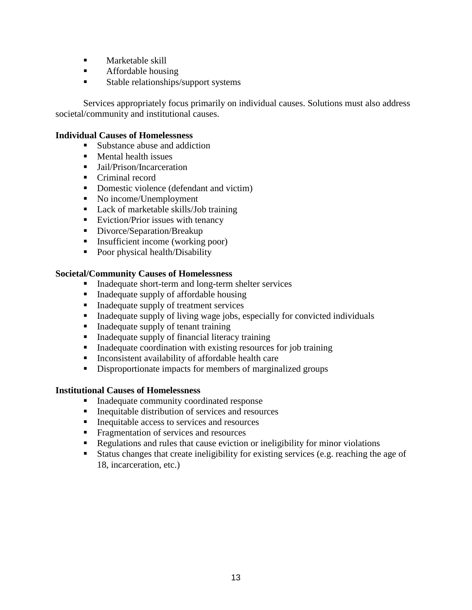- **Marketable skill**
- **Affordable housing**
- Stable relationships/support systems

Services appropriately focus primarily on individual causes. Solutions must also address societal/community and institutional causes.

#### **Individual Causes of Homelessness**

- Substance abuse and addiction
- Mental health issues
- Jail/Prison/Incarceration
- Criminal record
- Domestic violence (defendant and victim)
- No income/Unemployment
- Lack of marketable skills/Job training
- Eviction/Prior issues with tenancy
- Divorce/Separation/Breakup
- Insufficient income (working poor)
- Poor physical health/Disability

#### **Societal/Community Causes of Homelessness**

- Inadequate short-term and long-term shelter services
- Inadequate supply of affordable housing
- Inadequate supply of treatment services
- Inadequate supply of living wage jobs, especially for convicted individuals
- Inadequate supply of tenant training
- Inadequate supply of financial literacy training
- Inadequate coordination with existing resources for job training
- **Inconsistent availability of affordable health care**
- Disproportionate impacts for members of marginalized groups

#### **Institutional Causes of Homelessness**

- **Inadequate community coordinated response**
- **Inequitable distribution of services and resources**
- Inequitable access to services and resources
- **Fragmentation of services and resources**
- Regulations and rules that cause eviction or ineligibility for minor violations
- Status changes that create ineligibility for existing services (e.g. reaching the age of 18, incarceration, etc.)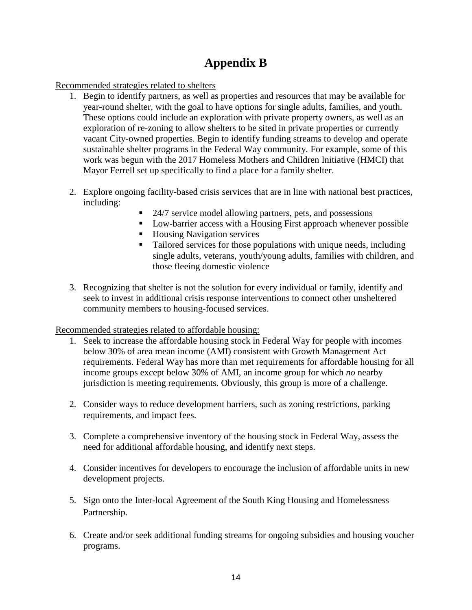# **Appendix B**

Recommended strategies related to shelters

- 1. Begin to identify partners, as well as properties and resources that may be available for year-round shelter, with the goal to have options for single adults, families, and youth. These options could include an exploration with private property owners, as well as an exploration of re-zoning to allow shelters to be sited in private properties or currently vacant City-owned properties. Begin to identify funding streams to develop and operate sustainable shelter programs in the Federal Way community. For example, some of this work was begun with the 2017 Homeless Mothers and Children Initiative (HMCI) that Mayor Ferrell set up specifically to find a place for a family shelter.
- 2. Explore ongoing facility-based crisis services that are in line with national best practices, including:
	- 24/7 service model allowing partners, pets, and possessions
	- Low-barrier access with a Housing First approach whenever possible
	- Housing Navigation services
	- Tailored services for those populations with unique needs, including single adults, veterans, youth/young adults, families with children, and those fleeing domestic violence
- 3. Recognizing that shelter is not the solution for every individual or family, identify and seek to invest in additional crisis response interventions to connect other unsheltered community members to housing-focused services.

Recommended strategies related to affordable housing:

- 1. Seek to increase the affordable housing stock in Federal Way for people with incomes below 30% of area mean income (AMI) consistent with Growth Management Act requirements. Federal Way has more than met requirements for affordable housing for all income groups except below 30% of AMI, an income group for which *no* nearby jurisdiction is meeting requirements. Obviously, this group is more of a challenge.
- 2. Consider ways to reduce development barriers, such as zoning restrictions, parking requirements, and impact fees.
- 3. Complete a comprehensive inventory of the housing stock in Federal Way, assess the need for additional affordable housing, and identify next steps.
- 4. Consider incentives for developers to encourage the inclusion of affordable units in new development projects.
- 5. Sign onto the Inter-local Agreement of the South King Housing and Homelessness Partnership.
- 6. Create and/or seek additional funding streams for ongoing subsidies and housing voucher programs.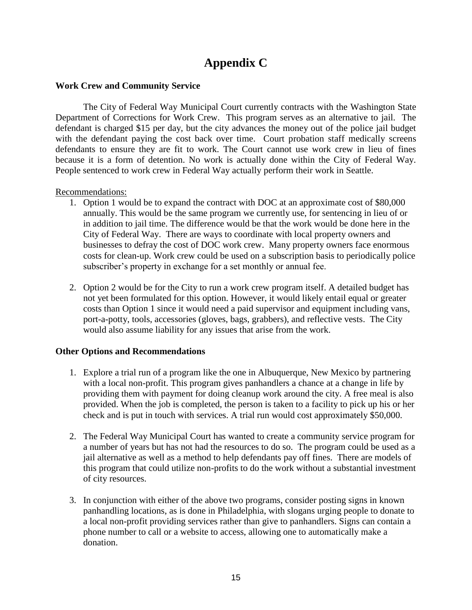# **Appendix C**

#### **Work Crew and Community Service**

The City of Federal Way Municipal Court currently contracts with the Washington State Department of Corrections for Work Crew. This program serves as an alternative to jail. The defendant is charged \$15 per day, but the city advances the money out of the police jail budget with the defendant paying the cost back over time. Court probation staff medically screens defendants to ensure they are fit to work. The Court cannot use work crew in lieu of fines because it is a form of detention. No work is actually done within the City of Federal Way. People sentenced to work crew in Federal Way actually perform their work in Seattle.

#### Recommendations:

- 1. Option 1 would be to expand the contract with DOC at an approximate cost of \$80,000 annually. This would be the same program we currently use, for sentencing in lieu of or in addition to jail time. The difference would be that the work would be done here in the City of Federal Way. There are ways to coordinate with local property owners and businesses to defray the cost of DOC work crew. Many property owners face enormous costs for clean-up. Work crew could be used on a subscription basis to periodically police subscriber's property in exchange for a set monthly or annual fee.
- 2. Option 2 would be for the City to run a work crew program itself. A detailed budget has not yet been formulated for this option. However, it would likely entail equal or greater costs than Option 1 since it would need a paid supervisor and equipment including vans, port-a-potty, tools, accessories (gloves, bags, grabbers), and reflective vests. The City would also assume liability for any issues that arise from the work.

#### **Other Options and Recommendations**

- 1. Explore a trial run of a program like the one in Albuquerque, New Mexico by partnering with a local non-profit. This program gives panhandlers a chance at a change in life by providing them with payment for doing cleanup work around the city. A free meal is also provided. When the job is completed, the person is taken to a facility to pick up his or her check and is put in touch with services. A trial run would cost approximately \$50,000.
- 2. The Federal Way Municipal Court has wanted to create a community service program for a number of years but has not had the resources to do so. The program could be used as a jail alternative as well as a method to help defendants pay off fines. There are models of this program that could utilize non-profits to do the work without a substantial investment of city resources.
- 3. In conjunction with either of the above two programs, consider posting signs in known panhandling locations, as is done in Philadelphia, with slogans urging people to donate to a local non-profit providing services rather than give to panhandlers. Signs can contain a phone number to call or a website to access, allowing one to automatically make a donation.